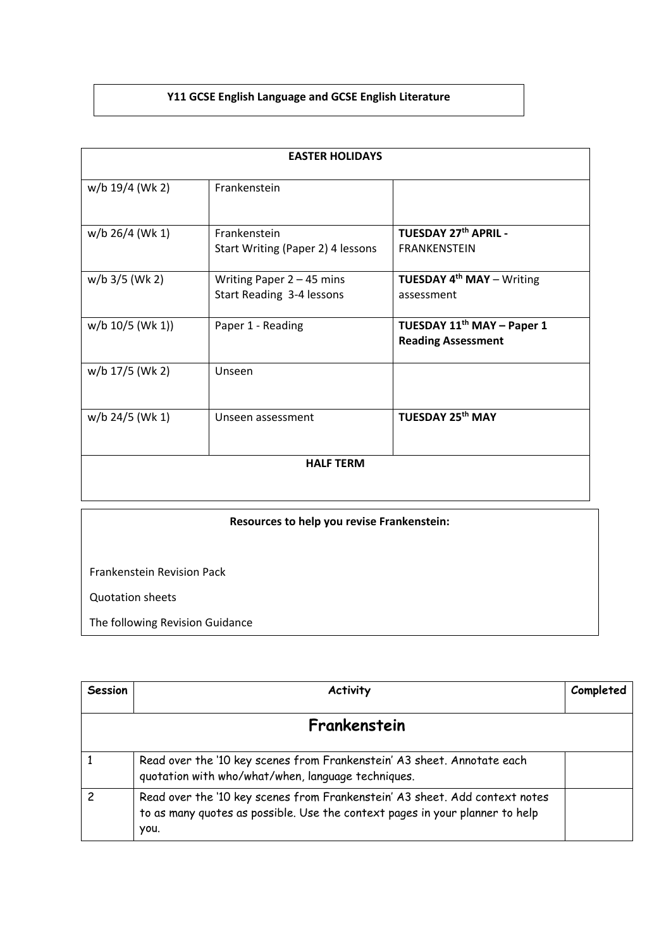## **Y11 GCSE English Language and GCSE English Literature**

| <b>EASTER HOLIDAYS</b> |                                                          |                                                                     |  |  |
|------------------------|----------------------------------------------------------|---------------------------------------------------------------------|--|--|
| w/b 19/4 (Wk 2)        | Frankenstein                                             |                                                                     |  |  |
| $w/b$ 26/4 (Wk 1)      | <b>Frankenstein</b><br>Start Writing (Paper 2) 4 lessons | TUESDAY 27th APRIL -<br><b>FRANKENSTEIN</b>                         |  |  |
| $w/b$ 3/5 (Wk 2)       | Writing Paper $2 - 45$ mins<br>Start Reading 3-4 lessons | <b>TUESDAY 4th MAY - Writing</b><br>assessment                      |  |  |
| $w/b$ 10/5 (Wk 1))     | Paper 1 - Reading                                        | TUESDAY 11 <sup>th</sup> MAY - Paper 1<br><b>Reading Assessment</b> |  |  |
| w/b 17/5 (Wk 2)        | Unseen                                                   |                                                                     |  |  |
| w/b 24/5 (Wk 1)        | Unseen assessment                                        | <b>TUESDAY 25th MAY</b>                                             |  |  |
| <b>HALF TERM</b>       |                                                          |                                                                     |  |  |
|                        |                                                          |                                                                     |  |  |

| Resources to help you revise Frankenstein: |  |  |  |
|--------------------------------------------|--|--|--|
|                                            |  |  |  |
| <b>Frankenstein Revision Pack</b>          |  |  |  |
| <b>Quotation sheets</b>                    |  |  |  |
| The following Revision Guidance            |  |  |  |

| Session | <b>Activity</b>                                                                                                                                                     | Completed |
|---------|---------------------------------------------------------------------------------------------------------------------------------------------------------------------|-----------|
|         | Frankenstein                                                                                                                                                        |           |
|         | Read over the '10 key scenes from Frankenstein' A3 sheet. Annotate each<br>quotation with who/what/when, language techniques.                                       |           |
|         | Read over the '10 key scenes from Frankenstein' A3 sheet. Add context notes<br>to as many quotes as possible. Use the context pages in your planner to help<br>you. |           |